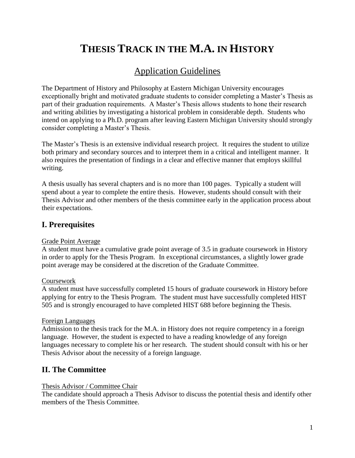# **THESIS TRACK IN THE M.A. IN HISTORY**

# Application Guidelines

The Department of History and Philosophy at Eastern Michigan University encourages exceptionally bright and motivated graduate students to consider completing a Master's Thesis as part of their graduation requirements. A Master's Thesis allows students to hone their research and writing abilities by investigating a historical problem in considerable depth. Students who intend on applying to a Ph.D. program after leaving Eastern Michigan University should strongly consider completing a Master's Thesis.

The Master's Thesis is an extensive individual research project. It requires the student to utilize both primary and secondary sources and to interpret them in a critical and intelligent manner. It also requires the presentation of findings in a clear and effective manner that employs skillful writing.

A thesis usually has several chapters and is no more than 100 pages. Typically a student will spend about a year to complete the entire thesis. However, students should consult with their Thesis Advisor and other members of the thesis committee early in the application process about their expectations.

## **I. Prerequisites**

#### Grade Point Average

A student must have a cumulative grade point average of 3.5 in graduate coursework in History in order to apply for the Thesis Program. In exceptional circumstances, a slightly lower grade point average may be considered at the discretion of the Graduate Committee.

#### Coursework

A student must have successfully completed 15 hours of graduate coursework in History before applying for entry to the Thesis Program. The student must have successfully completed HIST 505 and is strongly encouraged to have completed HIST 688 before beginning the Thesis.

#### Foreign Languages

Admission to the thesis track for the M.A. in History does not require competency in a foreign language. However, the student is expected to have a reading knowledge of any foreign languages necessary to complete his or her research. The student should consult with his or her Thesis Advisor about the necessity of a foreign language.

# **II. The Committee**

#### Thesis Advisor / Committee Chair

The candidate should approach a Thesis Advisor to discuss the potential thesis and identify other members of the Thesis Committee.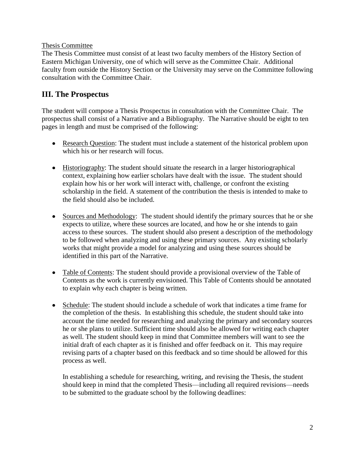#### Thesis Committee

The Thesis Committee must consist of at least two faculty members of the History Section of Eastern Michigan University, one of which will serve as the Committee Chair. Additional faculty from outside the History Section or the University may serve on the Committee following consultation with the Committee Chair.

## **III. The Prospectus**

The student will compose a Thesis Prospectus in consultation with the Committee Chair. The prospectus shall consist of a Narrative and a Bibliography. The Narrative should be eight to ten pages in length and must be comprised of the following:

- Research Question: The student must include a statement of the historical problem upon which his or her research will focus.
- Historiography: The student should situate the research in a larger historiographical context, explaining how earlier scholars have dealt with the issue. The student should explain how his or her work will interact with, challenge, or confront the existing scholarship in the field. A statement of the contribution the thesis is intended to make to the field should also be included.
- Sources and Methodology: The student should identify the primary sources that he or she expects to utilize, where these sources are located, and how he or she intends to gain access to these sources. The student should also present a description of the methodology to be followed when analyzing and using these primary sources. Any existing scholarly works that might provide a model for analyzing and using these sources should be identified in this part of the Narrative.
- Table of Contents: The student should provide a provisional overview of the Table of Contents as the work is currently envisioned. This Table of Contents should be annotated to explain why each chapter is being written.
- Schedule: The student should include a schedule of work that indicates a time frame for the completion of the thesis. In establishing this schedule, the student should take into account the time needed for researching and analyzing the primary and secondary sources he or she plans to utilize. Sufficient time should also be allowed for writing each chapter as well. The student should keep in mind that Committee members will want to see the initial draft of each chapter as it is finished and offer feedback on it. This may require revising parts of a chapter based on this feedback and so time should be allowed for this process as well.

In establishing a schedule for researching, writing, and revising the Thesis, the student should keep in mind that the completed Thesis—including all required revisions—needs to be submitted to the graduate school by the following deadlines: